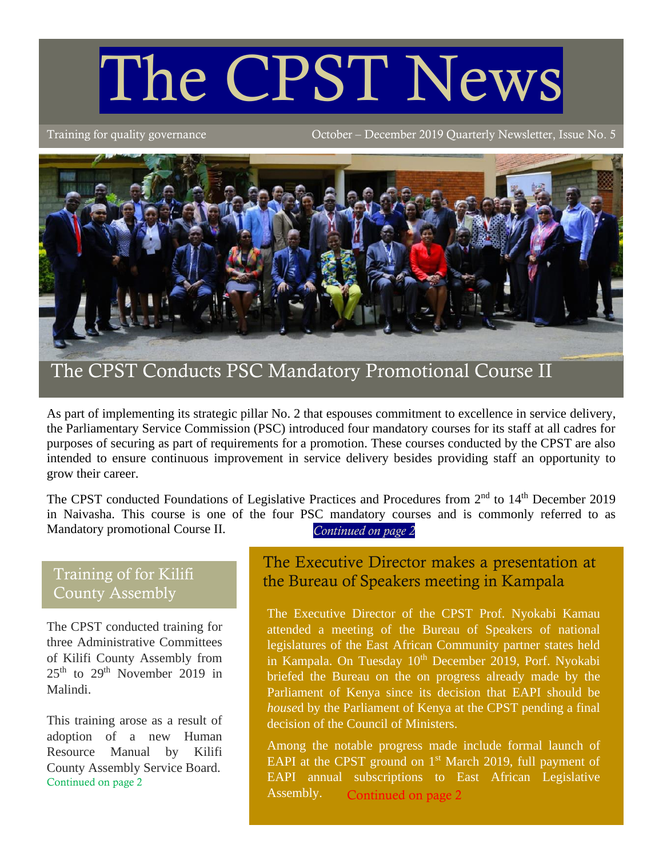# The CPST News

Training for quality governance October – December 2019 Quarterly Newsletter, Issue No. 5



As part of implementing its strategic pillar No. 2 that espouses commitment to excellence in service delivery, the Parliamentary Service Commission (PSC) introduced four mandatory courses for its staff at all cadres for purposes of securing as part of requirements for a promotion. These courses conducted by the CPST are also intended to ensure continuous improvement in service delivery besides providing staff an opportunity to grow their career.

The CPST conducted Foundations of Legislative Practices and Procedures from 2<sup>nd</sup> to 14<sup>th</sup> December 2019 in Naivasha. This course is one of the four PSC mandatory courses and is commonly referred to as Mandatory promotional Course II. *Continued on page 2*

# Training of for Kilifi County Assembly

The CPST conducted training for three Administrative Committees of Kilifi County Assembly from  $25<sup>th</sup>$  to  $29<sup>th</sup>$  November 2019 in Malindi.

This training arose as a result of adoption of a new Human Resource Manual by Kilifi County Assembly Service Board. Continued on page 2

# The Executive Director makes a presentation at the Bureau of Speakers meeting in Kampala

The Executive Director of the CPST Prof. Nyokabi Kamau attended a meeting of the Bureau of Speakers of national legislatures of the East African Community partner states held in Kampala. On Tuesday 10<sup>th</sup> December 2019, Porf. Nyokabi briefed the Bureau on the on progress already made by the Parliament of Kenya since its decision that EAPI should be *house*d by the Parliament of Kenya at the CPST pending a final decision of the Council of Ministers.

Among the notable progress made include formal launch of EAPI at the CPST ground on  $1<sup>st</sup>$  March 2019, full payment of EAPI annual subscriptions to East African Legislative Assembly. Continued on page 2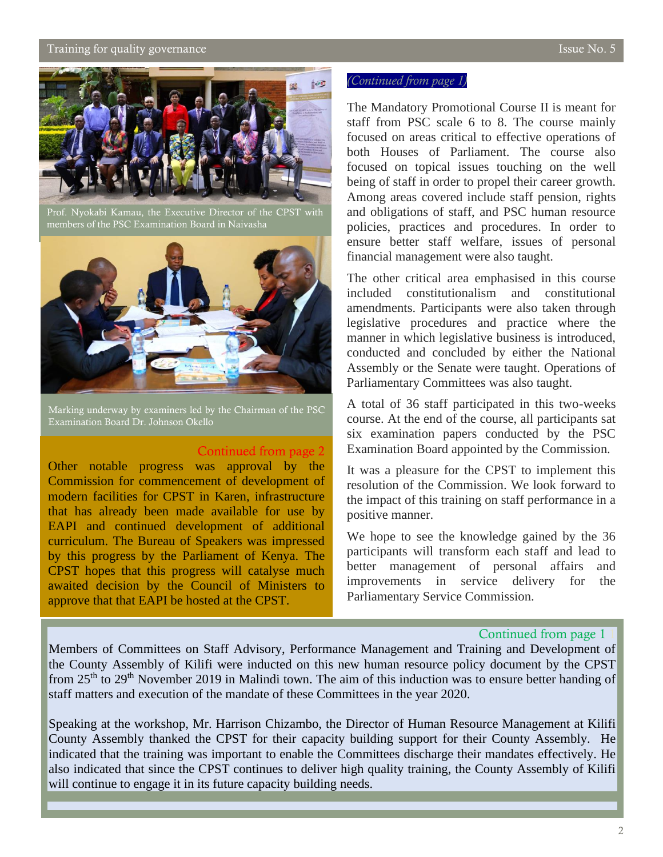## $\alpha$  Training for quality governance  $\alpha$  is the  $\alpha$  superior  $\alpha$  is the  $\alpha$  SSUe No. 5



5 members of the PSC Examination Board in Naivasha Prof. Nyokabi Kamau, the Executive Director of the CPST with



Marking underway by examiners led by the Chairman of the PSC Examination Board Dr. Johnson Okello

#### Continued from page 2

Other notable progress was approval by the Commission for commencement of development of modern facilities for CPST in Karen, infrastructure that has already been made available for use by EAPI and continued development of additional curriculum. The Bureau of Speakers was impressed by this progress by the Parliament of Kenya. The CPST hopes that this progress will catalyse much awaited decision by the Council of Ministers to approve that that EAPI be hosted at the CPST.

## *(Continued from page 1)*

The Mandatory Promotional Course II is meant for staff from PSC scale 6 to 8. The course mainly focused on areas critical to effective operations of both Houses of Parliament. The course also focused on topical issues touching on the well being of staff in order to propel their career growth. Among areas covered include staff pension, rights and obligations of staff, and PSC human resource policies, practices and procedures. In order to ensure better staff welfare, issues of personal financial management were also taught.

The other critical area emphasised in this course included constitutionalism and constitutional amendments. Participants were also taken through legislative procedures and practice where the manner in which legislative business is introduced, conducted and concluded by either the National Assembly or the Senate were taught. Operations of Parliamentary Committees was also taught.

A total of 36 staff participated in this two-weeks course. At the end of the course, all participants sat six examination papers conducted by the PSC Examination Board appointed by the Commission.

It was a pleasure for the CPST to implement this resolution of the Commission. We look forward to the impact of this training on staff performance in a positive manner.

We hope to see the knowledge gained by the 36 participants will transform each staff and lead to better management of personal affairs and improvements in service delivery for the Parliamentary Service Commission.

### Continued from page 1

Members of Committees on Staff Advisory, Performance Management and Training and Development of the County Assembly of Kilifi were inducted on this new human resource policy document by the CPST from 25<sup>th</sup> to 29<sup>th</sup> November 2019 in Malindi town. The aim of this induction was to ensure better handing of staff matters and execution of the mandate of these Committees in the year 2020.

Speaking at the workshop, Mr. Harrison Chizambo, the Director of Human Resource Management at Kilifi County Assembly thanked the CPST for their capacity building support for their County Assembly. He indicated that the training was important to enable the Committees discharge their mandates effectively. He also indicated that since the CPST continues to deliver high quality training, the County Assembly of Kilifi will continue to engage it in its future capacity building needs.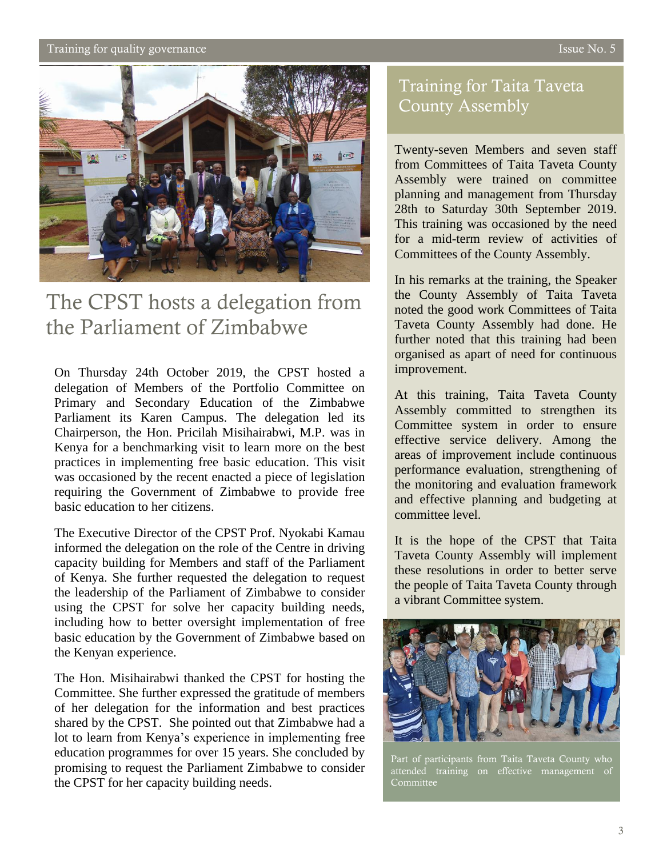## Training for quality governance  $\overline{1}$  issue No. 5



# The CPST hosts a delegation from the Parliament of Zimbabwe

On Thursday 24th October 2019, the CPST hosted a delegation of Members of the Portfolio Committee on Primary and Secondary Education of the Zimbabwe Parliament its Karen Campus. The delegation led its Chairperson, the Hon. Pricilah Misihairabwi, M.P. was in Kenya for a benchmarking visit to learn more on the best practices in implementing free basic education. This visit was occasioned by the recent enacted a piece of legislation requiring the Government of Zimbabwe to provide free basic education to her citizens.

The Executive Director of the CPST Prof. Nyokabi Kamau informed the delegation on the role of the Centre in driving capacity building for Members and staff of the Parliament of Kenya. She further requested the delegation to request the leadership of the Parliament of Zimbabwe to consider using the CPST for solve her capacity building needs, including how to better oversight implementation of free basic education by the Government of Zimbabwe based on the Kenyan experience.

The Hon. Misihairabwi thanked the CPST for hosting the Committee. She further expressed the gratitude of members of her delegation for the information and best practices shared by the CPST. She pointed out that Zimbabwe had a lot to learn from Kenya's experience in implementing free education programmes for over 15 years. She concluded by promising to request the Parliament Zimbabwe to consider the CPST for her capacity building needs.

# Training for Taita Taveta County Assembly

Twenty-seven Members and seven staff from Committees of Taita Taveta County Assembly were trained on committee planning and management from Thursday 28th to Saturday 30th September 2019. This training was occasioned by the need for a mid-term review of activities of Committees of the County Assembly.

In his remarks at the training, the Speaker the County Assembly of Taita Taveta noted the good work Committees of Taita Taveta County Assembly had done. He further noted that this training had been organised as apart of need for continuous improvement.

At this training, Taita Taveta County Assembly committed to strengthen its Committee system in order to ensure effective service delivery. Among the areas of improvement include continuous performance evaluation, strengthening of the monitoring and evaluation framework and effective planning and budgeting at committee level.

It is the hope of the CPST that Taita Taveta County Assembly will implement these resolutions in order to better serve the people of Taita Taveta County through a vibrant Committee system.



Part of participants from Taita Taveta County who attended training on effective management of Committee